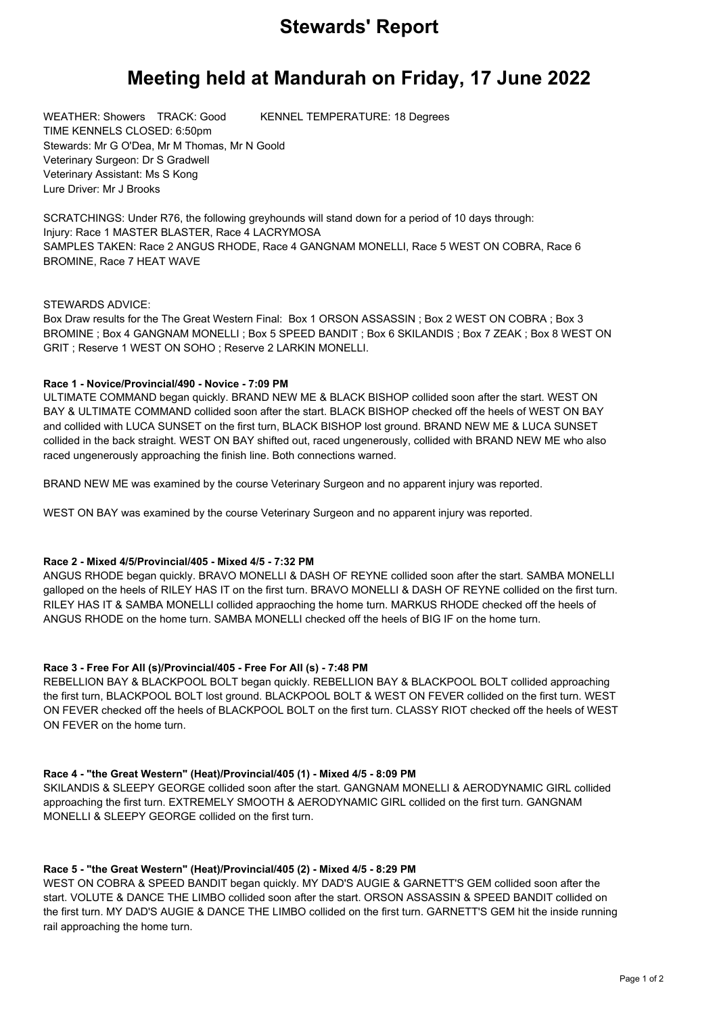# **Stewards' Report**

# **Meeting held at Mandurah on Friday, 17 June 2022**

WEATHER: Showers TRACK: Good KENNEL TEMPERATURE: 18 Degrees TIME KENNELS CLOSED: 6:50pm Stewards: Mr G O'Dea, Mr M Thomas, Mr N Goold Veterinary Surgeon: Dr S Gradwell Veterinary Assistant: Ms S Kong Lure Driver: Mr J Brooks

SCRATCHINGS: Under R76, the following greyhounds will stand down for a period of 10 days through: Injury: Race 1 MASTER BLASTER, Race 4 LACRYMOSA SAMPLES TAKEN: Race 2 ANGUS RHODE, Race 4 GANGNAM MONELLI, Race 5 WEST ON COBRA, Race 6 BROMINE, Race 7 HEAT WAVE

## STEWARDS ADVICE:

Box Draw results for the The Great Western Final: Box 1 ORSON ASSASSIN ; Box 2 WEST ON COBRA ; Box 3 BROMINE ; Box 4 GANGNAM MONELLI ; Box 5 SPEED BANDIT ; Box 6 SKILANDIS ; Box 7 ZEAK ; Box 8 WEST ON GRIT ; Reserve 1 WEST ON SOHO ; Reserve 2 LARKIN MONELLI.

## **Race 1 - Novice/Provincial/490 - Novice - 7:09 PM**

ULTIMATE COMMAND began quickly. BRAND NEW ME & BLACK BISHOP collided soon after the start. WEST ON BAY & ULTIMATE COMMAND collided soon after the start. BLACK BISHOP checked off the heels of WEST ON BAY and collided with LUCA SUNSET on the first turn, BLACK BISHOP lost ground. BRAND NEW ME & LUCA SUNSET collided in the back straight. WEST ON BAY shifted out, raced ungenerously, collided with BRAND NEW ME who also raced ungenerously approaching the finish line. Both connections warned.

BRAND NEW ME was examined by the course Veterinary Surgeon and no apparent injury was reported.

WEST ON BAY was examined by the course Veterinary Surgeon and no apparent injury was reported.

# **Race 2 - Mixed 4/5/Provincial/405 - Mixed 4/5 - 7:32 PM**

ANGUS RHODE began quickly. BRAVO MONELLI & DASH OF REYNE collided soon after the start. SAMBA MONELLI galloped on the heels of RILEY HAS IT on the first turn. BRAVO MONELLI & DASH OF REYNE collided on the first turn. RILEY HAS IT & SAMBA MONELLI collided appraoching the home turn. MARKUS RHODE checked off the heels of ANGUS RHODE on the home turn. SAMBA MONELLI checked off the heels of BIG IF on the home turn.

# **Race 3 - Free For All (s)/Provincial/405 - Free For All (s) - 7:48 PM**

REBELLION BAY & BLACKPOOL BOLT began quickly. REBELLION BAY & BLACKPOOL BOLT collided approaching the first turn, BLACKPOOL BOLT lost ground. BLACKPOOL BOLT & WEST ON FEVER collided on the first turn. WEST ON FEVER checked off the heels of BLACKPOOL BOLT on the first turn. CLASSY RIOT checked off the heels of WEST ON FEVER on the home turn.

#### **Race 4 - "the Great Western" (Heat)/Provincial/405 (1) - Mixed 4/5 - 8:09 PM**

SKILANDIS & SLEEPY GEORGE collided soon after the start. GANGNAM MONELLI & AERODYNAMIC GIRL collided approaching the first turn. EXTREMELY SMOOTH & AERODYNAMIC GIRL collided on the first turn. GANGNAM MONELLI & SLEEPY GEORGE collided on the first turn.

# **Race 5 - "the Great Western" (Heat)/Provincial/405 (2) - Mixed 4/5 - 8:29 PM**

WEST ON COBRA & SPEED BANDIT began quickly. MY DAD'S AUGIE & GARNETT'S GEM collided soon after the start. VOLUTE & DANCE THE LIMBO collided soon after the start. ORSON ASSASSIN & SPEED BANDIT collided on the first turn. MY DAD'S AUGIE & DANCE THE LIMBO collided on the first turn. GARNETT'S GEM hit the inside running rail approaching the home turn.